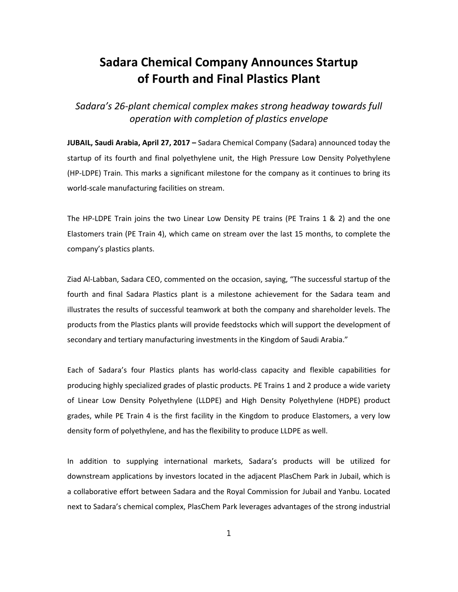## **Sadara Chemical Company Announces Startup of Fourth and Final Plastics Plant**

*Sadara's 26-plant chemical complex makes strong headway towards full operation with completion of plastics envelope*

**JUBAIL, Saudi Arabia, April 27, 2017 –** Sadara Chemical Company (Sadara) announced today the startup of its fourth and final polyethylene unit, the High Pressure Low Density Polyethylene (HP-LDPE) Train. This marks a significant milestone for the company as it continues to bring its world-scale manufacturing facilities on stream.

The HP-LDPE Train joins the two Linear Low Density PE trains (PE Trains 1 & 2) and the one Elastomers train (PE Train 4), which came on stream over the last 15 months, to complete the company's plastics plants.

Ziad Al-Labban, Sadara CEO, commented on the occasion, saying, "The successful startup of the fourth and final Sadara Plastics plant is a milestone achievement for the Sadara team and illustrates the results of successful teamwork at both the company and shareholder levels. The products from the Plastics plants will provide feedstocks which will support the development of secondary and tertiary manufacturing investments in the Kingdom of Saudi Arabia."

Each of Sadara's four Plastics plants has world-class capacity and flexible capabilities for producing highly specialized grades of plastic products. PE Trains 1 and 2 produce a wide variety of Linear Low Density Polyethylene (LLDPE) and High Density Polyethylene (HDPE) product grades, while PE Train 4 is the first facility in the Kingdom to produce Elastomers, a very low density form of polyethylene, and has the flexibility to produce LLDPE as well.

In addition to supplying international markets, Sadara's products will be utilized for downstream applications by investors located in the adjacent PlasChem Park in Jubail, which is a collaborative effort between Sadara and the Royal Commission for Jubail and Yanbu. Located next to Sadara's chemical complex, PlasChem Park leverages advantages of the strong industrial